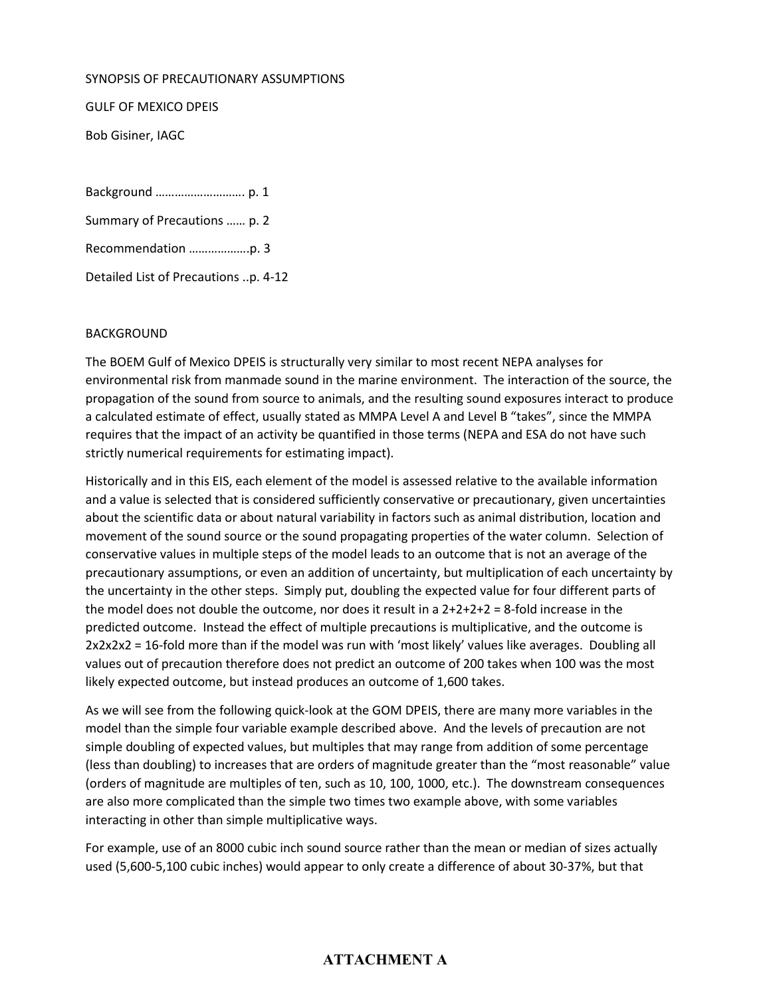#### SYNOPSIS OF PRECAUTIONARY ASSUMPTIONS

GULF OF MEXICO DPEIS

Bob Gisiner, IAGC

Background ………………………. p. 1

Summary of Precautions …… p. 2

Recommendation ……………….p. 3

Detailed List of Precautions ..p. 4-12

#### BACKGROUND

The BOEM Gulf of Mexico DPEIS is structurally very similar to most recent NEPA analyses for environmental risk from manmade sound in the marine environment. The interaction of the source, the propagation of the sound from source to animals, and the resulting sound exposures interact to produce a calculated estimate of effect, usually stated as MMPA Level A and Level B "takes", since the MMPA requires that the impact of an activity be quantified in those terms (NEPA and ESA do not have such strictly numerical requirements for estimating impact).

Historically and in this EIS, each element of the model is assessed relative to the available information and a value is selected that is considered sufficiently conservative or precautionary, given uncertainties about the scientific data or about natural variability in factors such as animal distribution, location and movement of the sound source or the sound propagating properties of the water column. Selection of conservative values in multiple steps of the model leads to an outcome that is not an average of the precautionary assumptions, or even an addition of uncertainty, but multiplication of each uncertainty by the uncertainty in the other steps. Simply put, doubling the expected value for four different parts of the model does not double the outcome, nor does it result in a  $2+2+2+2=8$ -fold increase in the predicted outcome. Instead the effect of multiple precautions is multiplicative, and the outcome is 2x2x2x2 = 16-fold more than if the model was run with 'most likely' values like averages. Doubling all values out of precaution therefore does not predict an outcome of 200 takes when 100 was the most likely expected outcome, but instead produces an outcome of 1,600 takes.

As we will see from the following quick-look at the GOM DPEIS, there are many more variables in the model than the simple four variable example described above. And the levels of precaution are not simple doubling of expected values, but multiples that may range from addition of some percentage (less than doubling) to increases that are orders of magnitude greater than the "most reasonable" value (orders of magnitude are multiples of ten, such as 10, 100, 1000, etc.). The downstream consequences are also more complicated than the simple two times two example above, with some variables interacting in other than simple multiplicative ways.

For example, use of an 8000 cubic inch sound source rather than the mean or median of sizes actually used (5,600-5,100 cubic inches) would appear to only create a difference of about 30-37%, but that

# **ATTACHMENT A**